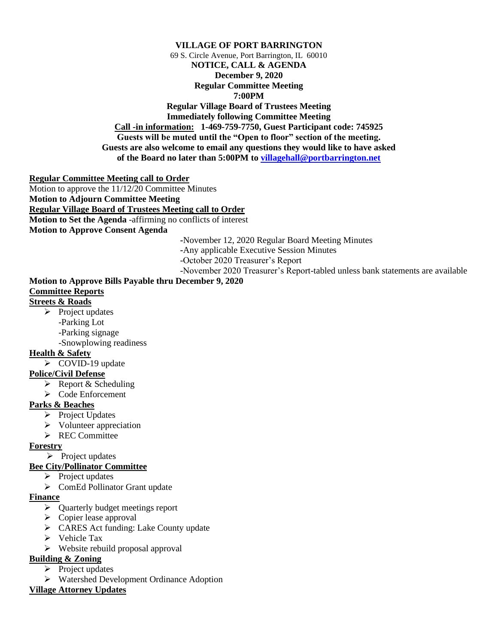#### **VILLAGE OF PORT BARRINGTON** 69 S. Circle Avenue, Port Barrington, IL 60010 **NOTICE, CALL & AGENDA December 9, 2020 Regular Committee Meeting 7:00PM Regular Village Board of Trustees Meeting Immediately following Committee Meeting Call -in information: 1-469-759-7750, Guest Participant code: 745925 Guests will be muted until the "Open to floor" section of the meeting. Guests are also welcome to email any questions they would like to have asked of the Board no later than 5:00PM to [villagehall@portbarrington.net](mailto:villagehall@portbarrington.net)**

#### **Regular Committee Meeting call to Order**

Motion to approve the 11/12/20 Committee Minutes **Motion to Adjourn Committee Meeting Regular Village Board of Trustees Meeting call to Order Motion to Set the Agenda** -affirming no conflicts of interest **Motion to Approve Consent Agenda**

**-**November 12, 2020 Regular Board Meeting Minutes

**-**Any applicable Executive Session Minutes

-October 2020 Treasurer's Report

-November 2020 Treasurer's Report-tabled unless bank statements are available

# **Motion to Approve Bills Payable thru December 9, 2020 Committee Reports**

# **Streets & Roads**

- $\triangleright$  Project updates -Parking Lot
	- -Parking signage

-Snowplowing readiness

### **Health & Safety**

➢ COVID-19 update

### **Police/Civil Defense**

- ➢ Report & Scheduling
- ➢ Code Enforcement

### **Parks & Beaches**

- ➢ Project Updates
- ➢ Volunteer appreciation
- ➢ REC Committee

### **Forestry**

➢ Project updates

### **Bee City/Pollinator Committee**

- ➢ Project updates
- ➢ ComEd Pollinator Grant update

#### **Finance**

- ➢ Quarterly budget meetings report
- $\triangleright$  Copier lease approval
- ➢ CARES Act funding: Lake County update
- ➢ Vehicle Tax
- ➢ Website rebuild proposal approval
- **Building & Zoning**
	- ➢ Project updates
	- ➢ Watershed Development Ordinance Adoption

### **Village Attorney Updates**